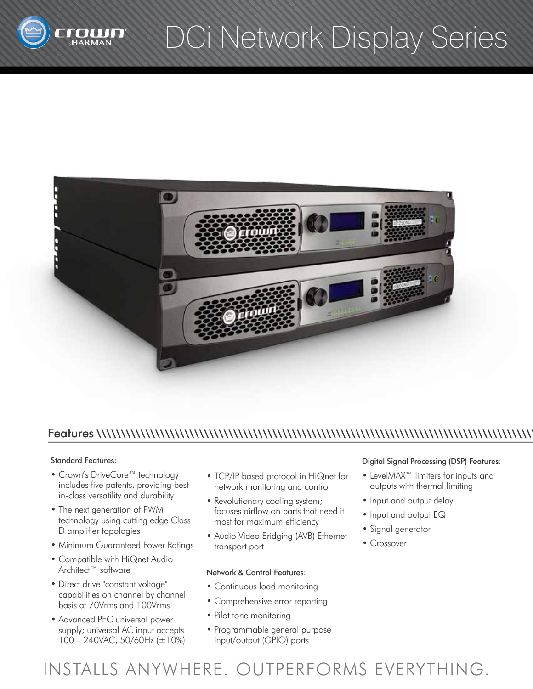

## DCi Network Display Series



## Features \\\\\\\\\\\\\\\\\\\\\\\\\\\\\\\\\\\\\\\\\\\\\\\\\\\\\\\\\\\\\\\\\\\\\\\\\\\\\\\\\\\\\\\\\\

#### Standard Features:

- Crown's DriveCore™ technology includes five patents, providing bestin-class versatility and durability
- The next generation of PWM technology using cutting edge Class D amplifier topologies
- Minimum Guaranteed Power Ratings
- Compatible with HiQnet Audio Architect™ software
- Direct drive "constant voltage" capabilities on channel by channel basis at 70Vrms and 100Vrms
- Advanced PFC universal power supply; universal AC input accepts 100 – 240VAC, 50/60Hz (±10%)
- TCP/IP based protocol in HiQnet for network monitoring and control
- Revolutionary cooling system; focuses airflow on parts that need it most for maximum efficiency
- Audio Video Bridging (AVB) Ethernet transport port

#### Network & Control Features:

- Continuous load monitoring
- Comprehensive error reporting
- Pilot tone monitoring
- Programmable general purpose input/output (GPIO) ports

#### Digital Signal Processing (DSP) Features:

- LevelMAX™ limiters for inputs and outputs with thermal limiting
- Input and output delay
- Input and output EQ
- Signal generator
- Crossover

INSTALLS ANYWHERE. OUTPERFORMS EVERYTHING.